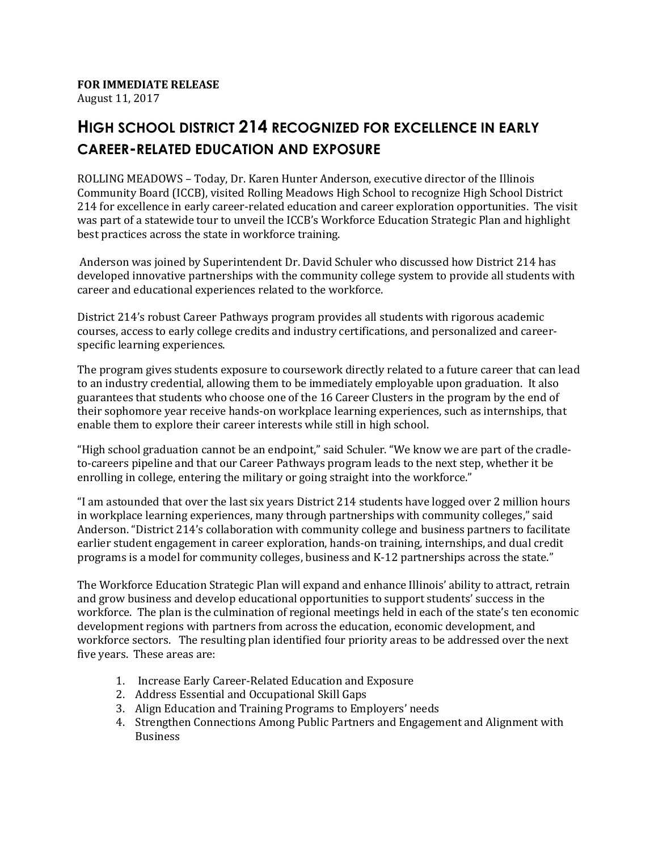## **FOR IMMEDIATE RELEASE**

August 11, 2017

## **HIGH SCHOOL DISTRICT 214 RECOGNIZED FOR EXCELLENCE IN EARLY CAREER-RELATED EDUCATION AND EXPOSURE**

ROLLING MEADOWS – Today, Dr. Karen Hunter Anderson, executive director of the Illinois Community Board (ICCB), visited Rolling Meadows High School to recognize High School District 214 for excellence in early career-related education and career exploration opportunities. The visit was part of a statewide tour to unveil the ICCB's Workforce Education Strategic Plan and highlight best practices across the state in workforce training.

Anderson was joined by Superintendent Dr. David Schuler who discussed how District 214 has developed innovative partnerships with the community college system to provide all students with career and educational experiences related to the workforce.

District 214's robust Career Pathways program provides all students with rigorous academic courses, access to early college credits and industry certifications, and personalized and careerspecific learning experiences.

The program gives students exposure to coursework directly related to a future career that can lead to an industry credential, allowing them to be immediately employable upon graduation. It also guarantees that students who choose one of the 16 Career Clusters in the program by the end of their sophomore year receive hands-on workplace learning experiences, such as internships, that enable them to explore their career interests while still in high school.

"High school graduation cannot be an endpoint," said Schuler. "We know we are part of the cradleto-careers pipeline and that our Career Pathways program leads to the next step, whether it be enrolling in college, entering the military or going straight into the workforce."

"I am astounded that over the last six years District 214 students have logged over 2 million hours in workplace learning experiences, many through partnerships with community colleges," said Anderson. "District 214's collaboration with community college and business partners to facilitate earlier student engagement in career exploration, hands-on training, internships, and dual credit programs is a model for community colleges, business and K-12 partnerships across the state."

The Workforce Education Strategic Plan will expand and enhance Illinois' ability to attract, retrain and grow business and develop educational opportunities to support students' success in the workforce. The plan is the culmination of regional meetings held in each of the state's ten economic development regions with partners from across the education, economic development, and workforce sectors. The resulting plan identified four priority areas to be addressed over the next five years. These areas are:

- 1. Increase Early Career-Related Education and Exposure
- 2. Address Essential and Occupational Skill Gaps
- 3. Align Education and Training Programs to Employers' needs
- 4. Strengthen Connections Among Public Partners and Engagement and Alignment with **Business**